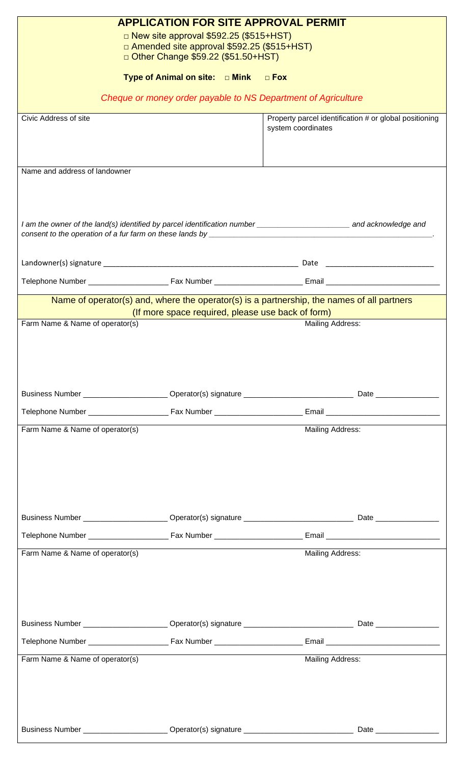| <b>APPLICATION FOR SITE APPROVAL PERMIT</b>                                                                                                                                                                                          |                                                                                                                                                 |                                                                              |                            |  |  |
|--------------------------------------------------------------------------------------------------------------------------------------------------------------------------------------------------------------------------------------|-------------------------------------------------------------------------------------------------------------------------------------------------|------------------------------------------------------------------------------|----------------------------|--|--|
| $\Box$ New site approval \$592.25 (\$515+HST)                                                                                                                                                                                        |                                                                                                                                                 |                                                                              |                            |  |  |
| □ Amended site approval \$592.25 (\$515+HST)<br>D Other Change \$59.22 (\$51.50+HST)                                                                                                                                                 |                                                                                                                                                 |                                                                              |                            |  |  |
|                                                                                                                                                                                                                                      |                                                                                                                                                 |                                                                              |                            |  |  |
| Type of Animal on site: $\Box$ Mink $\Box$ Fox                                                                                                                                                                                       |                                                                                                                                                 |                                                                              |                            |  |  |
| Cheque or money order payable to NS Department of Agriculture                                                                                                                                                                        |                                                                                                                                                 |                                                                              |                            |  |  |
| Civic Address of site                                                                                                                                                                                                                |                                                                                                                                                 | Property parcel identification # or global positioning<br>system coordinates |                            |  |  |
|                                                                                                                                                                                                                                      |                                                                                                                                                 |                                                                              |                            |  |  |
|                                                                                                                                                                                                                                      |                                                                                                                                                 |                                                                              |                            |  |  |
| Name and address of landowner                                                                                                                                                                                                        |                                                                                                                                                 |                                                                              |                            |  |  |
|                                                                                                                                                                                                                                      |                                                                                                                                                 |                                                                              |                            |  |  |
|                                                                                                                                                                                                                                      |                                                                                                                                                 |                                                                              |                            |  |  |
| I am the owner of the land(s) identified by parcel identification number _________________________________ and acknowledge and                                                                                                       |                                                                                                                                                 |                                                                              |                            |  |  |
| consent to the operation of a fur farm on these lands by <b>with the set of the set of the set of the set of the set of the set of the set of the set of the set of the set of the set of the set of the set of the set of the s</b> |                                                                                                                                                 |                                                                              |                            |  |  |
|                                                                                                                                                                                                                                      |                                                                                                                                                 |                                                                              |                            |  |  |
|                                                                                                                                                                                                                                      |                                                                                                                                                 |                                                                              |                            |  |  |
|                                                                                                                                                                                                                                      |                                                                                                                                                 |                                                                              |                            |  |  |
|                                                                                                                                                                                                                                      | Name of operator(s) and, where the operator(s) is a partnership, the names of all partners<br>(If more space required, please use back of form) |                                                                              |                            |  |  |
| Farm Name & Name of operator(s)<br>Mailing Address:                                                                                                                                                                                  |                                                                                                                                                 |                                                                              |                            |  |  |
|                                                                                                                                                                                                                                      |                                                                                                                                                 |                                                                              |                            |  |  |
|                                                                                                                                                                                                                                      |                                                                                                                                                 |                                                                              |                            |  |  |
|                                                                                                                                                                                                                                      |                                                                                                                                                 |                                                                              |                            |  |  |
|                                                                                                                                                                                                                                      |                                                                                                                                                 |                                                                              |                            |  |  |
|                                                                                                                                                                                                                                      |                                                                                                                                                 |                                                                              |                            |  |  |
| Farm Name & Name of operator(s)                                                                                                                                                                                                      |                                                                                                                                                 | <b>Mailing Address:</b>                                                      |                            |  |  |
|                                                                                                                                                                                                                                      |                                                                                                                                                 |                                                                              |                            |  |  |
|                                                                                                                                                                                                                                      |                                                                                                                                                 |                                                                              |                            |  |  |
|                                                                                                                                                                                                                                      |                                                                                                                                                 |                                                                              |                            |  |  |
|                                                                                                                                                                                                                                      |                                                                                                                                                 |                                                                              |                            |  |  |
|                                                                                                                                                                                                                                      |                                                                                                                                                 |                                                                              |                            |  |  |
|                                                                                                                                                                                                                                      |                                                                                                                                                 |                                                                              |                            |  |  |
|                                                                                                                                                                                                                                      |                                                                                                                                                 |                                                                              |                            |  |  |
| Farm Name & Name of operator(s)                                                                                                                                                                                                      |                                                                                                                                                 | Mailing Address:                                                             |                            |  |  |
|                                                                                                                                                                                                                                      |                                                                                                                                                 |                                                                              |                            |  |  |
|                                                                                                                                                                                                                                      |                                                                                                                                                 |                                                                              |                            |  |  |
|                                                                                                                                                                                                                                      |                                                                                                                                                 |                                                                              |                            |  |  |
|                                                                                                                                                                                                                                      |                                                                                                                                                 |                                                                              |                            |  |  |
|                                                                                                                                                                                                                                      |                                                                                                                                                 |                                                                              |                            |  |  |
| Farm Name & Name of operator(s)<br>Mailing Address:                                                                                                                                                                                  |                                                                                                                                                 |                                                                              |                            |  |  |
|                                                                                                                                                                                                                                      |                                                                                                                                                 |                                                                              |                            |  |  |
|                                                                                                                                                                                                                                      |                                                                                                                                                 |                                                                              |                            |  |  |
|                                                                                                                                                                                                                                      |                                                                                                                                                 |                                                                              |                            |  |  |
| Business Number _________________________ Operator(s) signature ___________________________________                                                                                                                                  |                                                                                                                                                 |                                                                              | Date _____________________ |  |  |
|                                                                                                                                                                                                                                      |                                                                                                                                                 |                                                                              |                            |  |  |